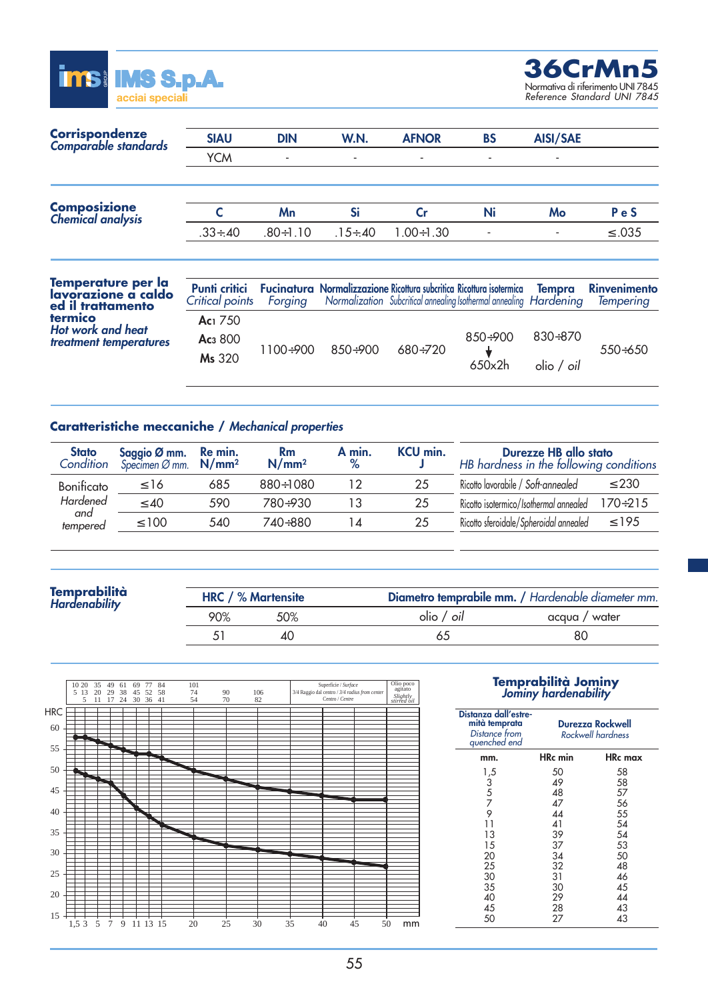

| <b>Corrispondenze</b><br>Comparable standards | <b>SIAU</b>    | <b>DIN</b>      | W.N.                     | <b>AFNOR</b>     | <b>BS</b>                | AISI/SAE |             |
|-----------------------------------------------|----------------|-----------------|--------------------------|------------------|--------------------------|----------|-------------|
|                                               | <b>YCM</b>     | ٠               | $\overline{\phantom{a}}$ | ٠                |                          | ۰        |             |
| <b>Composizione</b><br>Chemical analysis      |                | Mn              | Si                       | Cr               | Ni                       | Mo       | <b>PeS</b>  |
|                                               | $.33 \div .40$ | $.80 \div 1.10$ | $.15 \div .40$           | $1.00 \div 1.30$ | $\overline{\phantom{a}}$ | ٠        | $\leq .035$ |

| Temperature per la<br>lavorazione a caldo<br>ed il trattamento | Critical points     | Foraina    |           |         | Punti critici Fucinatura Normalizzazione Ricottura subcritica Ricottura isotermica Tempra<br>Normalization Subcritical annealing Isothermal annealing Hardening |                          | Rinvenimento<br>Temperina |
|----------------------------------------------------------------|---------------------|------------|-----------|---------|-----------------------------------------------------------------------------------------------------------------------------------------------------------------|--------------------------|---------------------------|
| termico                                                        | Ac <sub>1</sub> 750 |            |           |         |                                                                                                                                                                 |                          |                           |
| <b>Hot work and heat</b><br>treatment temperatures             | Ac <sub>3</sub> 800 | $1100+900$ | $850+900$ |         | $850+900$                                                                                                                                                       | 830÷870                  |                           |
|                                                                | Ms 320              |            |           | 680÷720 | 650x2h                                                                                                                                                          | $_{\rm olio}$ / $_{oil}$ | $550+650$                 |

## **Caratteristiche meccaniche /** *Mechanical properties*

| <b>Stato</b><br>Condition | Saggio Ø mm. Re min.<br>Specimen Ø mm. $N/mm2$ |     | <b>Rm</b><br>N/mm <sup>2</sup> | A min.<br>% | <b>KCU min.</b> | Durezze HB allo stato<br>HB hardness in the following conditions |                |
|---------------------------|------------------------------------------------|-----|--------------------------------|-------------|-----------------|------------------------------------------------------------------|----------------|
| Bonificato                | $\leq$ 16                                      | 685 | $880 \div 1080$                | 12          | 25              | Ricotto lavorabile / Soft-annealed                               | $\leq$ 230     |
| Hardened                  | $\leq 40$                                      | 590 | 780÷930                        | 13          | 25              | Ricotto isotermico/Isothermal annealed                           | $170 \div 215$ |
| and<br>tempered           | $\leq 100$                                     | 540 | 740÷880                        | 14          | 25              | Ricotto sferoidale/Spheroidal annealed                           | $\leq 195$     |

| Temprabilità<br>Hardenability | <b>HRC</b> / % Martensite |      |                   | Diametro temprabile mm. / Hardenable diameter mm. |
|-------------------------------|---------------------------|------|-------------------|---------------------------------------------------|
|                               | 90%                       | .50% | olio / <i>oil</i> | acqua / water                                     |
|                               |                           | 40   | 65                | 80                                                |

|            | 5 | 10 20<br>13<br>5 | 35<br>20<br>11 | 49<br>29<br>17 | 61<br>38<br>24 | 69<br>30 | 77<br>45 52<br>36 | 84<br>58<br>41 | 101<br>74<br>54 | 90 | 70 |    | 106<br>82 |    |  |    | Superficie / Surface<br>3/4 Raggio dal centro / 3/4 radius from center<br>Centro / Centre |    |    | Olio poco<br>agitato<br>Slightly<br>stirred oil |
|------------|---|------------------|----------------|----------------|----------------|----------|-------------------|----------------|-----------------|----|----|----|-----------|----|--|----|-------------------------------------------------------------------------------------------|----|----|-------------------------------------------------|
| <b>HRC</b> |   |                  |                |                |                |          |                   |                |                 |    |    |    |           |    |  |    |                                                                                           |    |    |                                                 |
|            |   |                  |                |                |                |          |                   |                |                 |    |    |    |           |    |  |    |                                                                                           |    |    |                                                 |
| 60         |   |                  |                |                |                |          |                   |                |                 |    |    |    |           |    |  |    |                                                                                           |    |    |                                                 |
|            |   |                  |                |                |                |          |                   |                |                 |    |    |    |           |    |  |    |                                                                                           |    |    |                                                 |
| 55         |   |                  |                |                |                |          |                   |                |                 |    |    |    |           |    |  |    |                                                                                           |    |    |                                                 |
|            |   |                  |                |                |                |          |                   |                |                 |    |    |    |           |    |  |    |                                                                                           |    |    |                                                 |
| 50         |   |                  |                |                |                |          |                   |                |                 |    |    |    |           |    |  |    |                                                                                           |    |    |                                                 |
|            |   |                  |                |                |                |          |                   |                |                 |    |    |    |           |    |  |    |                                                                                           |    |    |                                                 |
| 45         |   |                  |                |                |                |          |                   |                |                 |    |    |    |           |    |  |    |                                                                                           |    |    |                                                 |
|            |   |                  |                |                |                |          |                   |                |                 |    |    |    |           |    |  |    |                                                                                           |    |    |                                                 |
|            |   |                  |                |                |                |          |                   |                |                 |    |    |    |           |    |  |    |                                                                                           |    |    |                                                 |
| 40         |   |                  |                |                |                |          |                   |                |                 |    |    |    |           |    |  |    |                                                                                           |    |    |                                                 |
|            |   |                  |                |                |                |          |                   |                |                 |    |    |    |           |    |  |    |                                                                                           |    |    |                                                 |
| 35         |   |                  |                |                |                |          |                   |                |                 |    |    |    |           |    |  |    |                                                                                           |    |    |                                                 |
|            |   |                  |                |                |                |          |                   |                |                 |    |    |    |           |    |  |    |                                                                                           |    |    |                                                 |
| 30         |   |                  |                |                |                |          |                   |                |                 |    |    |    |           |    |  |    |                                                                                           |    |    |                                                 |
|            |   |                  |                |                |                |          |                   |                |                 |    |    |    |           |    |  |    |                                                                                           |    |    |                                                 |
| 25         |   |                  |                |                |                |          |                   |                |                 |    |    |    |           |    |  |    |                                                                                           |    |    |                                                 |
|            |   |                  |                |                |                |          |                   |                |                 |    |    |    |           |    |  |    |                                                                                           |    |    |                                                 |
|            |   |                  |                |                |                |          |                   |                |                 |    |    |    |           |    |  |    |                                                                                           |    |    |                                                 |
| 20         |   |                  |                |                |                |          |                   |                |                 |    |    |    |           |    |  |    |                                                                                           |    |    |                                                 |
|            |   |                  |                |                |                |          |                   |                |                 |    |    |    |           |    |  |    |                                                                                           |    |    |                                                 |
| 15         |   |                  |                |                |                |          |                   |                |                 |    |    |    |           |    |  |    |                                                                                           |    |    |                                                 |
|            |   | 1,53             | 5              | $\tau$         | 9              |          | 11 13 15          |                | 20              |    | 25 | 30 |           | 35 |  | 40 |                                                                                           | 45 | 50 | mm                                              |

## **Temprabilità Jominy** *Jominy hardenability*

| Distanza dall'estre-<br>mità temprata<br>Distance from<br>quenched end    |                                                                            | Durezza Rockwell<br>Rockwell hardness                                      |
|---------------------------------------------------------------------------|----------------------------------------------------------------------------|----------------------------------------------------------------------------|
| mm.                                                                       | HRc min                                                                    | <b>HRc</b> max                                                             |
| 1,5<br>$\frac{3}{5}$<br>9<br>11<br>13<br>15<br>20<br>25<br>30<br>35<br>40 | 50<br>49<br>48<br>47<br>44<br>41<br>39<br>37<br>34<br>32<br>31<br>30<br>29 | 58<br>58<br>57<br>56<br>55<br>54<br>54<br>53<br>50<br>48<br>46<br>45<br>44 |
| 45<br>50                                                                  | 28<br>27                                                                   | 43<br>43                                                                   |